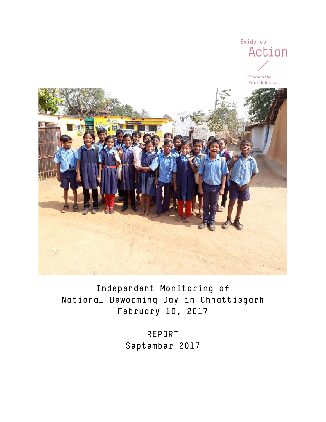

Independent Monitoring of National Deworming Day in Chhattisgarh February 10, 2017

> REPORT September 2017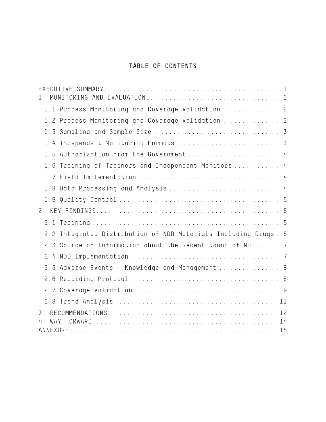# TABLE OF CONTENTS

| 1.1 Process Monitoring and Coverage Validation  2               |  |
|-----------------------------------------------------------------|--|
| 1.2 Process Monitoring and Coverage Validation  2               |  |
|                                                                 |  |
| 1.4 Independent Monitoring Formats  3                           |  |
| 1.5 Authorization from the Government  4                        |  |
| 1.6 Training of Trainers and Independent Monitors  4            |  |
|                                                                 |  |
| 1.8 Data Processing and Analysis  4                             |  |
|                                                                 |  |
|                                                                 |  |
|                                                                 |  |
| 2.2 Integrated Distribution of NDD Materials Including Drugs. 6 |  |
| 2.3 Source of Information about the Recent Round of NDD  7      |  |
|                                                                 |  |
| 2.5 Adverse Events - Knowledge and Management  8                |  |
|                                                                 |  |
|                                                                 |  |
|                                                                 |  |
| $\overline{3}$ .                                                |  |
|                                                                 |  |
|                                                                 |  |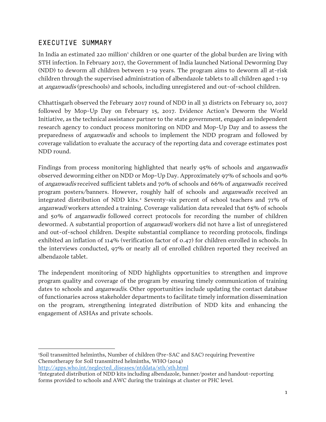## <span id="page-2-0"></span>EXECUTIVE SUMMARY

In India an estimated 220 million children or one quarter of the global burden are living with STH infection. In February 2017, the Government of India launched National Deworming Day (NDD) to deworm all children between 1-19 years. The program aims to deworm all at-risk children through the supervised administration of albendazole tablets to all children aged 1-19 at anganwadis (preschools) and schools, including unregistered and out-of-school children.

Chhattisgarh observed the February 2017 round of NDD in all 31 districts on February 10, 2017 followed by Mop-Up Day on February 15, 2017. Evidence Action's Deworm the World Initiative, as the technical assistance partner to the state government, engaged an independent research agency to conduct process monitoring on NDD and Mop-Up Day and to assess the preparedness of anganwadis and schools to implement the NDD program and followed by coverage validation to evaluate the accuracy of the reporting data and coverage estimates post NDD round.

Findings from process monitoring highlighted that nearly 95% of schools and anganwadis observed deworming either on NDD or Mop-Up Day. Approximately 97% of schools and 90% of anganwadis received sufficient tablets and 70% of schools and 66% of anganwadis received program posters/banners. However, roughly half of schools and anganwadis received an integrated distribution of NDD kits. [2](#page-2-2) Seventy-six percent of school teachers and 71% of anganwadi workers attended a training. Coverage validation data revealed that 65% of schools and 50% of anganwadis followed correct protocols for recording the number of children dewormed. A substantial proportion of *anganwadi* workers did not have a list of unregistered and out-of-school children. Despite substantial compliance to recording protocols, findings exhibited an inflation of 114% (verification factor of 0.47) for children enrolled in schools. In the interviews conducted, 97% or nearly all of enrolled children reported they received an albendazole tablet.

The independent monitoring of NDD highlights opportunities to strengthen and improve program quality and coverage of the program by ensuring timely communication of training dates to schools and *anganwadis*. Other opportunities include updating the contact database of functionaries across stakeholder departments to facilitate timely information dissemination on the program, strengthening integrated distribution of NDD kits and enhancing the engagement of ASHAs and private schools.

<span id="page-2-1"></span> $\overline{a}$ 1 Soil transmitted helminths, Number of children (Pre-SAC and SAC) requiring Preventive Chemotherapy for Soil transmitted helminths, WHO (2014) [http://apps.who.int/neglected\\_diseases/ntddata/sth/sth.html](http://apps.who.int/neglected_diseases/ntddata/sth/sth.html)

<span id="page-2-2"></span><sup>2</sup> Integrated distribution of NDD kits including albendazole, banner/poster and handout-reporting forms provided to schools and AWC during the trainings at cluster or PHC level.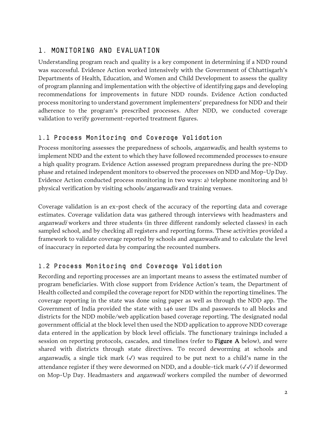# <span id="page-3-0"></span>1. MONITORING AND EVALUATION

Understanding program reach and quality is a key component in determining if a NDD round was successful. Evidence Action worked intensively with the Government of Chhattisgarh's Departments of Health, Education, and Women and Child Development to assess the quality of program planning and implementation with the objective of identifying gaps and developing recommendations for improvements in future NDD rounds. Evidence Action conducted process monitoring to understand government implementers' preparedness for NDD and their adherence to the program's prescribed processes. After NDD, we conducted coverage validation to verify government-reported treatment figures.

### <span id="page-3-1"></span>1.1 Process Monitoring and Coverage Validation

Process monitoring assesses the preparedness of schools, *anganwadis*, and health systems to implement NDD and the extent to which they have followed recommended processes to ensure a high quality program. Evidence Action assessed program preparedness during the pre-NDD phase and retained independent monitors to observed the processes on NDD and Mop-Up Day. Evidence Action conducted process monitoring in two ways: a) telephone monitoring and b) physical verification by visiting schools/anganwadis and training venues.

Coverage validation is an ex-post check of the accuracy of the reporting data and coverage estimates. Coverage validation data was gathered through interviews with headmasters and anganwadi workers and three students (in three different randomly selected classes) in each sampled school, and by checking all registers and reporting forms. These activities provided a framework to validate coverage reported by schools and anganwadis and to calculate the level of inaccuracy in reported data by comparing the recounted numbers.

### <span id="page-3-2"></span>1.2 Process Monitoring and Coverage Validation

Recording and reporting processes are an important means to assess the estimated number of program beneficiaries. With close support from Evidence Action's team, the Department of Health collected and compiled the coverage report for NDD within the reporting timelines. The coverage reporting in the state was done using paper as well as through the NDD app. The Government of India provided the state with 146 user IDs and passwords to all blocks and districts for the NDD mobile/web application based coverage reporting. The designated nodal government official at the block level then used the NDD application to approve NDD coverage data entered in the application by block level officials. The functionary trainings included a session on reporting protocols, cascades, and timelines (refer to **Figure A** below), and were shared with districts through state directives. To record deworming at schools and anganwadis, a single tick mark  $(\sqrt{})$  was required to be put next to a child's name in the attendance register if they were dewormed on NDD, and a double-tick mark (✓✓) if dewormed on Mop-Up Day. Headmasters and *anganwadi* workers compiled the number of dewormed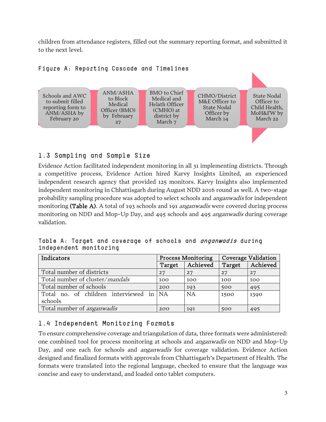children from attendance registers, filled out the summary reporting format, and submitted it to the next level.



#### Figure A: Reporting Cascade and Timelines

## <span id="page-4-0"></span>1.3 Sampling and Sample Size

Evidence Action facilitated independent monitoring in all 31 implementing districts. Through a competitive process, Evidence Action hired Karvy Insights Limited, an experienced independent research agency that provided 125 monitors. Karvy Insights also implemented independent monitoring in Chhattisgarh during August NDD 2016 round as well. A two-stage probability sampling procedure was adopted to select schools and anganwadis for independent monitoring (Table A). A total of 193 schools and 191 *anganwadis* were covered during process monitoring on NDD and Mop-Up Day, and 495 schools and 495 *anganwadis* during coverage validation.

Table A: Target and coverage of schools and *anganwadis* during independent monitoring

| Indicators                              |        | <b>Process Monitoring</b> | <b>Coverage Validation</b> |          |  |
|-----------------------------------------|--------|---------------------------|----------------------------|----------|--|
|                                         | Target | Achieved                  | Target                     | Achieved |  |
| Total number of districts               | 27     | 27                        | 27                         | 27       |  |
| Total number of cluster/ <i>mandals</i> | 100    | 100                       | 100                        | 100      |  |
| Total number of schools                 | 200    | 193                       | 500                        | 495      |  |
| Total no. of children interviewed in    | I NA   | <b>NA</b>                 | 1500                       | 1390     |  |
| schools                                 |        |                           |                            |          |  |
| Total number of <i>anganwadis</i>       | 200    | 191                       | 500                        | 495      |  |

## <span id="page-4-1"></span>1.4 Independent Monitoring Formats

To ensure comprehensive coverage and triangulation of data, three formats were administered: one combined tool for process monitoring at schools and anganwadis on NDD and Mop-Up Day, and one each for schools and *anganwadis* for coverage validation. Evidence Action designed and finalized formats with approvals from Chhattisgarh's Department of Health. The formats were translated into the regional language, checked to ensure that the language was concise and easy to understand, and loaded onto tablet computers.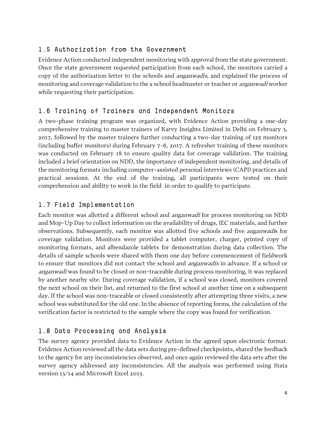## <span id="page-5-0"></span>1.5 Authorization from the Government

Evidence Action conducted independent monitoring with approval from the state government. Once the state government requested participation from each school, the monitors carried a copy of the authorization letter to the schools and *anganwadis*, and explained the process of monitoring and coverage validation to the a school headmaster or teacher or *anganwadi* worker while requesting their participation.

## <span id="page-5-1"></span>1.6 Training of Trainers and Independent Monitors

A two-phase training program was organized, with Evidence Action providing a one-day comprehensive training to master trainers of Karvy Insights Limited in Delhi on February 3, 2017, followed by the master trainers further conducting a two-day training of 125 monitors (including buffer monitors) during February 7-8, 2017. A refresher training of these monitors was conducted on February 18 to ensure quality data for coverage validation. The training included a brief orientation on NDD, the importance of independent monitoring, and details of the monitoring formats including computer-assisted personal interviews (CAPI) practices and practical sessions. At the end of the training, all participants were tested on their comprehension and ability to work in the field in order to qualify to participate.

### <span id="page-5-2"></span>1.7 Field Implementation

Each monitor was allotted a different school and anganwadi for process monitoring on NDD and Mop-Up Day to collect information on the availability of drugs, IEC materials, and further observations. Subsequently, each monitor was allotted five schools and five *anganwadi*s for coverage validation. Monitors were provided a tablet computer, charger, printed copy of monitoring formats, and albendazole tablets for demonstration during data collection. The details of sample schools were shared with them one day before commencement of fieldwork to ensure that monitors did not contact the school and *anganwadis* in advance. If a school or anganwadi was found to be closed or non-traceable during process monitoring, it was replaced by another nearby site. During coverage validation, if a school was closed, monitors covered the next school on their list, and returned to the first school at another time on a subsequent day. If the school was non-traceable or closed consistently after attempting three visits, a new school was substituted for the old one. In the absence of reporting forms, the calculation of the verification factor is restricted to the sample where the copy was found for verification.

## <span id="page-5-3"></span>1.8 Data Processing and Analysis

The survey agency provided data to Evidence Action in the agreed upon electronic format. Evidence Action reviewed all the data sets during pre-defined checkpoints, shared the feedback to the agency for any inconsistencies observed, and once again reviewed the data sets after the survey agency addressed any inconsistencies. All the analysis was performed using Stata version 13/14 and Microsoft Excel 2013.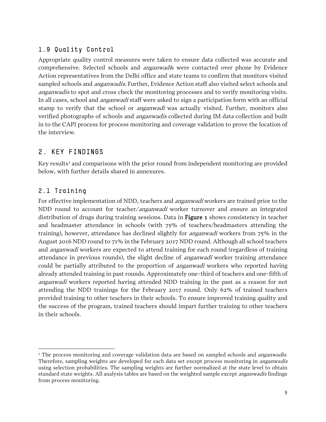# <span id="page-6-0"></span>1.9 Quality Control

Appropriate quality control measures were taken to ensure data collected was accurate and comprehensive. Selected schools and *anganwadi*s were contacted over phone by Evidence Action representatives from the Delhi office and state teams to confirm that monitors visited sampled schools and *anganwadis*. Further, Evidence Action staff also visited select schools and anganwadis to spot and cross check the monitoring processes and to verify monitoring visits. In all cases, school and *anganwadi* staff were asked to sign a participation form with an official stamp to verify that the school or *anganwadi* was actually visited. Further, monitors also verified photographs of schools and *anganwadis* collected during IM data collection and built in to the CAPI process for process monitoring and coverage validation to prove the location of the interview.

# <span id="page-6-1"></span>2. KEY FINDINGS

Key results<sup>[3](#page-6-3)</sup> and comparisons with the prior round from independent monitoring are provided below, with further details shared in annexures.

## <span id="page-6-2"></span>2.1 Training

For effective implementation of NDD, teachers and *anganwadi* workers are trained prior to the NDD round to account for teacher/*anganwadi* worker turnover and ensure an integrated distribution of drugs during training sessions. Data in **Figure 1** shows consistency in teacher and headmaster attendance in schools (with 75% of teachers/headmasters attending the training), however, attendance has declined slightly for *anganwadi* workers from 75% in the August 2016 NDD round to 71% in the February 2017 NDD round. Although all school teachers and *anganwadi* workers are expected to attend training for each round (regardless of training attendance in previous rounds), the slight decline of *anganwadi* worker training attendance could be partially attributed to the proportion of *anganwadi* workers who reported having already attended training in past rounds. Approximately one-third of teachers and one-fifth of anganwadi workers reported having attended NDD training in the past as a reason for not attending the NDD trainings for the February 2017 round. Only 62% of trained teachers provided training to other teachers in their schools. To ensure improved training quality and the success of the program, trained teachers should impart further training to other teachers in their schools.

<span id="page-6-3"></span> $\overline{a}$ <sup>3</sup> The process monitoring and coverage validation data are based on sampled schools and *anganwadis*. Therefore, sampling weights are developed for each data set except process monitoring in *anganwadis* using selection probabilities. The sampling weights are further normalized at the state level to obtain standard state weights. All analysis tables are based on the weighted sample except *anganwadis* findings from process monitoring.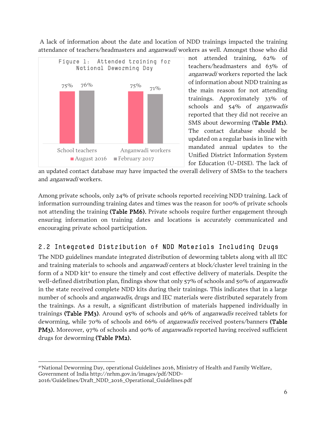A lack of information about the date and location of NDD trainings impacted the training attendance of teachers/headmasters and *anganwadi* workers as well. Amongst those who did



not attended training, 62% of teachers/headmasters and 63% of anganwadi workers reported the lack of information about NDD training as the main reason for not attending trainings. Approximately 33% of schools and 54% of anganwadis reported that they did not receive an SMS about deworming (Table PM1). The contact database should be updated on a regular basis in line with mandated annual updates to the Unified District Information System for Education (U-DISE). The lack of

an updated contact database may have impacted the overall delivery of SMSs to the teachers and *anganwadi* workers.

Among private schools, only 24% of private schools reported receiving NDD training. Lack of information surrounding training dates and times was the reason for 100% of private schools not attending the training (Table PM6). Private schools require further engagement through ensuring information on training dates and locations is accurately communicated and encouraging private school participation.

# <span id="page-7-0"></span>2.2 Integrated Distribution of NDD Materials Including Drugs

The NDD guidelines mandate integrated distribution of deworming tablets along with all IEC and training materials to schools and *anganwadi* centers at block/cluster level training in the form of a NDD kit<sup>4</sup> to ensure the timely and cost effective delivery of materials. Despite the well-defined distribution plan, findings show that only 57% of schools and 50% of *anganwadis* in the state received complete NDD kits during their trainings. This indicates that in a large number of schools and *anganwadis*, drugs and IEC materials were distributed separately from the trainings. As a result, a significant distribution of materials happened individually in trainings (Table PM3). Around 95% of schools and 96% of *anganwadis* received tablets for deworming, while 70% of schools and 66% of *anganwadis* received posters/banners (Table PM3). Moreover, 97% of schools and 90% of *anganwadis* reported having received sufficient drugs for deworming (Table PM2).

<span id="page-7-1"></span> $\overline{a}$ 4'National Deworming Day, operational Guidelines 2016, Ministry of Health and Family Welfare, Government of India http://nrhm.gov.in/images/pdf/NDD-2016/Guidelines/Draft\_NDD\_2016\_Operational\_Guidelines.pdf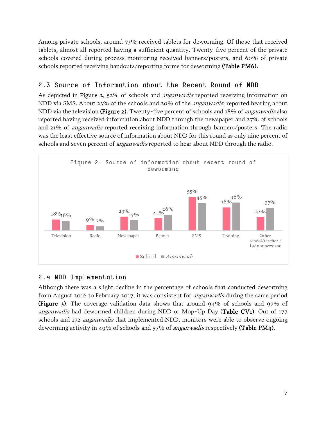Among private schools, around 73% received tablets for deworming. Of those that received tablets, almost all reported having a sufficient quantity. Twenty-five percent of the private schools covered during process monitoring received banners/posters, and 60% of private schools reported receiving handouts/reporting forms for deworming (Table PM6).

# <span id="page-8-0"></span>2.3 Source of Information about the Recent Round of NDD

As depicted in Figure 2, 52% of schools and *anganwadis* reported receiving information on NDD via SMS. About 23% of the schools and 20% of the *anganwadis*, reported hearing about NDD via the television (Figure 2). Twenty-five percent of schools and 18% of *anganwadis* also reported having received information about NDD through the newspaper and 27% of schools and 21% of anganwadis reported receiving information through banners/posters. The radio was the least effective source of information about NDD for this round as only nine percent of schools and seven percent of *anganwadis* reported to hear about NDD through the radio.



## <span id="page-8-1"></span>2.4 NDD Implementation

Although there was a slight decline in the percentage of schools that conducted deworming from August 2016 to February 2017, it was consistent for anganwadis during the same period (Figure 3). The coverage validation data shows that around 94% of schools and 97% of anganwadis had dewormed children during NDD or Mop-Up Day (Table CV1). Out of 177 schools and 172 *anganwadis* that implemented NDD, monitors were able to observe ongoing deworming activity in 49% of schools and 57% of *anganwadis* respectively (Table PM4).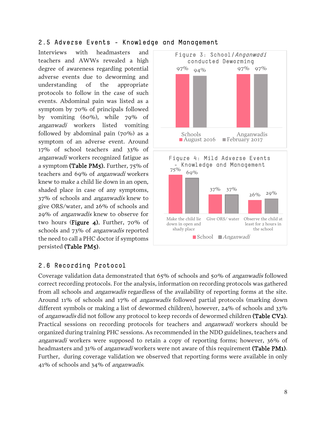#### <span id="page-9-0"></span>2.5 Adverse Events - Knowledge and Management

Interviews with headmasters and teachers and AWWs revealed a high degree of awareness regarding potential adverse events due to deworming and understanding of the appropriate protocols to follow in the case of such events. Abdominal pain was listed as a symptom by 70% of principals followed by vomiting (60%), while 79% of anganwadi workers listed vomiting followed by abdominal pain (70%) as a symptom of an adverse event. Around 17% of school teachers and 33% of anganwadi workers recognized fatigue as a symptom (Table PM5). Further, 75% of teachers and 69% of anganwadi workers knew to make a child lie down in an open, shaded place in case of any symptoms, 37% of schools and anganwadis knew to give ORS/water, and 26% of schools and 29% of anganwadis knew to observe for two hours (Figure 4). Further, 70% of schools and 73% of anganwadis reported the need to call a PHC doctor if symptoms persisted (Table PM5).



### <span id="page-9-1"></span>2.6 Recording Protocol

Coverage validation data demonstrated that 65% of schools and 50% of anganwadis followed correct recording protocols. For the analysis, information on recording protocols was gathered from all schools and anganwadis regardless of the availability of reporting forms at the site. Around 11% of schools and 17% of anganwadis followed partial protocols (marking down different symbols or making a list of dewormed children), however, 24% of schools and 33% of *anganwadis* did not follow any protocol to keep records of dewormed children (Table CV2). Practical sessions on recording protocols for teachers and *anganwadi* workers should be organized during training PHC sessions. As recommended in the NDD guidelines, teachers and anganwadi workers were supposed to retain a copy of reporting forms; however, 36% of headmasters and 31% of *anganwadi* workers were not aware of this requirement (Table PM1). Further, during coverage validation we observed that reporting forms were available in only 41% of schools and 34% of anganwadis.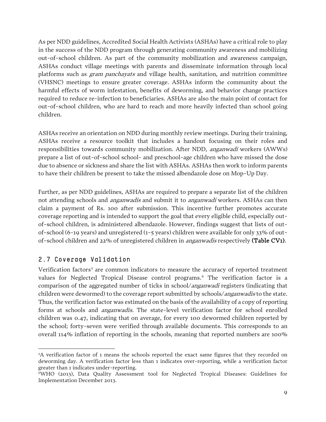As per NDD guidelines, Accredited Social Health Activists (ASHAs) have a critical role to play in the success of the NDD program through generating community awareness and mobilizing out-of-school children. As part of the community mobilization and awareness campaign, ASHAs conduct village meetings with parents and disseminate information through local platforms such as gram panchayats and village health, sanitation, and nutrition committee (VHSNC) meetings to ensure greater coverage. ASHAs inform the community about the harmful effects of worm infestation, benefits of deworming, and behavior change practices required to reduce re-infection to beneficiaries. ASHAs are also the main point of contact for out-of-school children, who are hard to reach and more heavily infected than school going children.

ASHAs receive an orientation on NDD during monthly review meetings. During their training, ASHAs receive a resource toolkit that includes a handout focusing on their roles and responsibilities towards community mobilization. After NDD, anganwadi workers (AWWs) prepare a list of out-of-school school- and preschool-age children who have missed the dose due to absence or sickness and share the list with ASHAs. ASHAs then work to inform parents to have their children be present to take the missed albendazole dose on Mop-Up Day.

Further, as per NDD guidelines, ASHAs are required to prepare a separate list of the children not attending schools and *anganwadis* and submit it to *anganwadi* workers. ASHAs can then claim a payment of Rs. 100 after submission. This incentive further promotes accurate coverage reporting and is intended to support the goal that every eligible child, especially outof-school children, is administered albendazole. However, findings suggest that lists of outof-school (6-19 years) and unregistered (1-5 years) children were available for only 33% of outof-school children and 22% of unregistered children in anganwadis respectively (Table CV1).

### <span id="page-10-0"></span>2.7 Coverage Validation

Verification factors<sup>[5](#page-10-1)</sup> are common indicators to measure the accuracy of reported treatment values for Neglected Tropical Disease control programs. [6](#page-10-2) The verification factor is a comparison of the aggregated number of ticks in school/*anganwadi* registers (indicating that children were dewormed) to the coverage report submitted by schools/anganwadis to the state. Thus, the verification factor was estimated on the basis of the availability of a copy of reporting forms at schools and *anganwadis*. The state-level verification factor for school enrolled children was 0.47, indicating that on average, for every 100 dewormed children reported by the school; forty-seven were verified through available documents. This corresponds to an overall 114% inflation of reporting in the schools, meaning that reported numbers are 100%

<span id="page-10-1"></span> $\overline{a}$ 5 A verification factor of 1 means the schools reported the exact same figures that they recorded on deworming day. A verification factor less than 1 indicates over-reporting, while a verification factor greater than 1 indicates under-reporting.

<span id="page-10-2"></span><sup>6</sup>WHO (2013), Data Quality Assessment tool for Neglected Tropical Diseases: Guidelines for Implementation December 2013.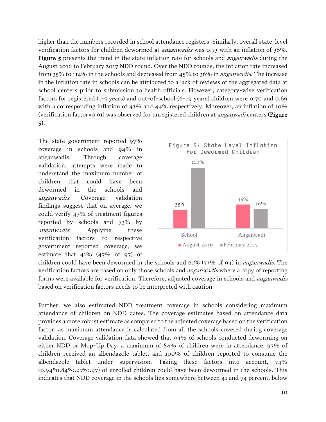higher than the numbers recorded in school attendance registers. Similarly, overall state-level verification factors for children dewormed at anganwadis was 0.73 with an inflation of 36%. **Figure 5** presents the trend in the state inflation rate for schools and *anganwadis* during the August 2016 to February 2017 NDD round. Over the NDD rounds, the inflation rate increased from 35% to 114% in the schools and decreased from 45% to 36% in anganwadis. The increase in the inflation rate in schools can be attributed to a lack of reviews of the aggregated data at school centers prior to submission to health officials. However, category-wise verification factors for registered (1-5 years) and out-of-school (6-19 years) children were 0.70 and 0.69 with a corresponding inflation of 43% and 44% respectively. Moreover, an inflation of 10% (verification factor=0.91) was observed for unregistered children at *anganwadi* centers (Figure 5).

The state government reported 97% coverage in schools and 94% in anganwadis. Through coverage validation, attempts were made to understand the maximum number of children that could have been dewormed in the schools and anganwadis. Coverage validation findings suggest that on average, we could verify 47% of treatment figures reported by schools and 73% by anganwadis. Applying these verification factors to respective government reported coverage, we estimate that 41% (47% of 97) of



children could have been dewormed in the schools and  $61\%$  (73% of 94) in *anganwadis*. The verification factors are based on only those schools and anganwadis where a copy of reporting forms were available for verification. Therefore, adjusted coverage in schools and *anganwadis* based on verification factors needs to be interpreted with caution.

Further, we also estimated NDD treatment coverage in schools considering maximum attendance of children on NDD dates. The coverage estimates based on attendance data provides a more robust estimate as compared to the adjusted coverage based on the verification factor, as maximum attendance is calculated from all the schools covered during coverage validation. Coverage validation data showed that 94% of schools conducted deworming on either NDD or Mop-Up Day, a maximum of 84% of children were in attendance, 97% of children received an albendazole tablet, and 100% of children reported to consume the albendazole tablet under supervision. Taking these factors into account, 74% (0.94\*0.84\*0.97\*0.97) of enrolled children could have been dewormed in the schools. This indicates that NDD coverage in the schools lies somewhere between 41 and 74 percent, below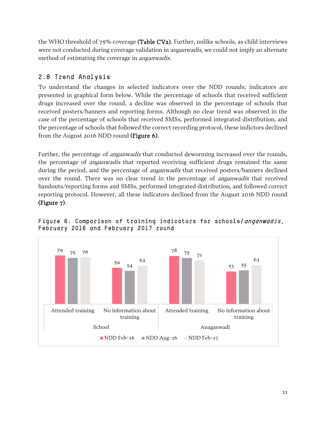the WHO threshold of 75% coverage (Table CV2). Further, unlike schools, as child interviews were not conducted during coverage validation in *anganwadis*, we could not imply an alternate method of estimating the coverage in *anganwadis*.

# <span id="page-12-0"></span>2.8 Trend Analysis

To understand the changes in selected indicators over the NDD rounds; indicators are presented in graphical form below. While the percentage of schools that received sufficient drugs increased over the round, a decline was observed in the percentage of schools that received posters/banners and reporting forms. Although no clear trend was observed in the case of the percentage of schools that received SMSs, performed integrated distribution, and the percentage of schools that followed the correct recording protocol, these indictors declined from the August 2016 NDD round (Figure 6).

Further, the percentage of *anganwadis* that conducted deworming increased over the rounds, the percentage of *anganwadis* that reported receiving sufficient drugs remained the same during the period, and the percentage of *anganwadis* that received posters/banners declined over the round. There was no clear trend in the percentage of *anganwadis* that received handouts/reporting forms and SMSs, performed integrated distribution, and followed correct reporting protocol. However, all these indicators declined from the August 2016 NDD round (Figure 7).



Figure 6: Comparison of training indicators for schools/anganwadis, February 2016 and February 2017 round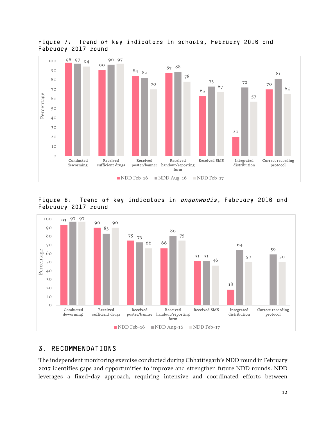![](_page_13_Figure_0.jpeg)

Figure 7: Trend of key indicators in schools, February 2016 and February 2017 round

![](_page_13_Figure_2.jpeg)

![](_page_13_Figure_3.jpeg)

### <span id="page-13-0"></span>3. RECOMMENDATIONS

The independent monitoring exercise conducted during Chhattisgarh's NDD round in February 2017 identifies gaps and opportunities to improve and strengthen future NDD rounds. NDD leverages a fixed-day approach, requiring intensive and coordinated efforts between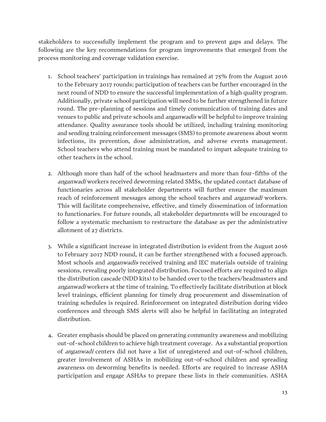stakeholders to successfully implement the program and to prevent gaps and delays. The following are the key recommendations for program improvements that emerged from the process monitoring and coverage validation exercise.

- 1. School teachers' participation in trainings has remained at 75% from the August 2016 to the February 2017 rounds; participation of teachers can be further encouraged in the next round of NDD to ensure the successful implementation of a high quality program. Additionally, private school participation will need to be further strengthened in future round. The pre-planning of sessions and timely communication of training dates and venues to public and private schools and *anganwadis* will be helpful to improve training attendance. Quality assurance tools should be utilized, including training monitoring and sending training reinforcement messages (SMS) to promote awareness about worm infections, its prevention, dose administration, and adverse events management. School teachers who attend training must be mandated to impart adequate training to other teachers in the school.
- 2. Although more than half of the school headmasters and more than four-fifths of the anganwadi workers received deworming related SMSs, the updated contact database of functionaries across all stakeholder departments will further ensure the maximum reach of reinforcement messages among the school teachers and *anganwadi* workers. This will facilitate comprehensive, effective, and timely dissemination of information to functionaries. For future rounds, all stakeholder departments will be encouraged to follow a systematic mechanism to restructure the database as per the administrative allotment of 27 districts.
- 3. While a significant increase in integrated distribution is evident from the August 2016 to February 2017 NDD round, it can be further strengthened with a focused approach. Most schools and *anganwadis* received training and IEC materials outside of training sessions, revealing poorly integrated distribution. Focused efforts are required to align the distribution cascade (NDD kits) to be handed over to the teachers/headmasters and anganwadi workers at the time of training. To effectively facilitate distribution at block level trainings, efficient planning for timely drug procurement and dissemination of training schedules is required. Reinforcement on integrated distribution during video conferences and through SMS alerts will also be helpful in facilitating an integrated distribution.
- 4. Greater emphasis should be placed on generating community awareness and mobilizing out-of-school children to achieve high treatment coverage. As a substantial proportion of anganwadi centers did not have a list of unregistered and out-of-school children, greater involvement of ASHAs in mobilizing out-of-school children and spreading awareness on deworming benefits is needed. Efforts are required to increase ASHA participation and engage ASHAs to prepare these lists in their communities. ASHA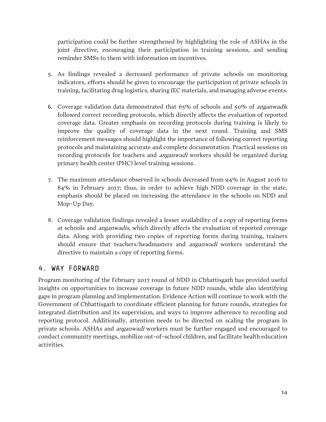participation could be further strengthened by highlighting the role of ASHAs in the joint directive, encouraging their participation in training sessions, and sending reminder SMSs to them with information on incentives.

- 5. As findings revealed a decreased performance of private schools on monitoring indicators, efforts should be given to encourage the participation of private schools in training, facilitating drug logistics, sharing IEC materials, and managing adverse events.
- 6. Coverage validation data demonstrated that 65% of schools and 50% of anganwadis followed correct recording protocols, which directly affects the evaluation of reported coverage data. Greater emphasis on recording protocols during training is likely to improve the quality of coverage data in the next round. Training and SMS reinforcement messages should highlight the importance of following correct reporting protocols and maintaining accurate and complete documentation. Practical sessions on recording protocols for teachers and *anganwadi* workers should be organized during primary health center (PHC) level training sessions.
- 7. The maximum attendance observed in schools decreased from 94% in August 2016 to 84% in February 2017; thus, in order to achieve high NDD coverage in the state, emphasis should be placed on increasing the attendance in the schools on NDD and Mop-Up Day.
- 8. Coverage validation findings revealed a lesser availability of a copy of reporting forms at schools and *anganwadis*, which directly affects the evaluation of reported coverage data. Along with providing two copies of reporting forms during training, trainers should ensure that teachers/headmasters and *anganwadi* workers understand the directive to maintain a copy of reporting forms.

## <span id="page-15-0"></span>4. WAY FORWARD

Program monitoring of the February 2017 round of NDD in Chhattisgarh has provided useful insights on opportunities to increase coverage in future NDD rounds, while also identifying gaps in program planning and implementation. Evidence Action will continue to work with the Government of Chhattisgarh to coordinate efficient planning for future rounds, strategies for integrated distribution and its supervision, and ways to improve adherence to recording and reporting protocol. Additionally, attention needs to be directed on scaling the program in private schools. ASHAs and *anganwadi* workers must be further engaged and encouraged to conduct community meetings, mobilize out-of-school children, and facilitate health education activities.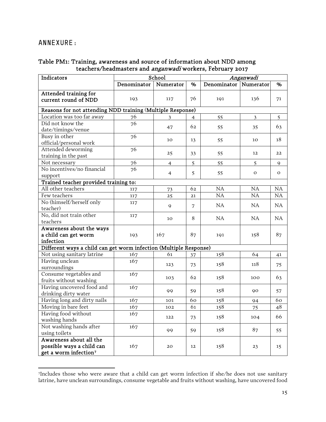## <span id="page-16-0"></span>ANNEXURE:

 $\overline{a}$ 

#### Table PM1: Training, awareness and source of information about NDD among teachers/headmasters and anganwadi workers, February 2017

| Indicators                                                        |             | School         |    |                       | Anganwadi    |              |  |  |
|-------------------------------------------------------------------|-------------|----------------|----|-----------------------|--------------|--------------|--|--|
|                                                                   | Denominator | Numerator      | %  | Denominator Numerator |              | %            |  |  |
| Attended training for                                             |             |                |    |                       |              |              |  |  |
| current round of NDD                                              | 193         | 117            | 76 | 191                   | 136          | 71           |  |  |
| Reasons for not attending NDD training (Multiple Response)        |             |                |    |                       |              |              |  |  |
| Location was too far away                                         | 76          | 3              | 4  | 55                    | 3            | 5            |  |  |
| Did not know the                                                  | 76          |                |    |                       |              |              |  |  |
| date/timings/venue                                                |             | 47             | 62 | 55                    | 35           | 63           |  |  |
| Busy in other                                                     | 76          |                |    |                       |              |              |  |  |
| official/personal work                                            |             | 10             | 13 | 55                    | 10           | 18           |  |  |
| Attended deworming                                                | 76          |                |    |                       |              |              |  |  |
| training in the past                                              |             | 25             | 33 | 55                    | 12           | 22           |  |  |
| Not necessary                                                     | 76          | $\overline{4}$ | 5  | 55                    | 5            | 9            |  |  |
| No incentives/no financial                                        | 76          |                |    |                       | $\mathbf{O}$ | $\mathbf{O}$ |  |  |
| support                                                           |             | $\overline{4}$ | 5  | 55                    |              |              |  |  |
| Trained teacher provided training to:                             |             |                |    |                       |              |              |  |  |
| All other teachers                                                | 117         | 73             | 62 | NA                    | NA           | NA           |  |  |
| Few teachers                                                      | 117         | 25             | 21 | NA                    | NA           | NA           |  |  |
| No (himself/herself only                                          | 117         | 9              | 7  | NA                    | NA           | NA           |  |  |
| teacher)                                                          |             |                |    |                       |              |              |  |  |
| No, did not train other                                           | 117         | 10             | 8  | NA                    | NA           | NA           |  |  |
| teachers                                                          |             |                |    |                       |              |              |  |  |
| Awareness about the ways                                          |             |                |    |                       |              |              |  |  |
| a child can get worm                                              | 193         | 167            | 87 | 191                   | 158          | 87           |  |  |
| infection                                                         |             |                |    |                       |              |              |  |  |
| Different ways a child can get worm infection (Multiple Response) |             |                |    |                       |              |              |  |  |
| Not using sanitary latrine                                        | 167         | 61             | 37 | 158                   | 64           | 41           |  |  |
| Having unclean                                                    | 167         | 123            | 73 | 158                   | 118          | 75           |  |  |
| surroundings                                                      |             |                |    |                       |              |              |  |  |
| Consume vegetables and                                            | 167         | 103            | 62 | 158                   | 100          | 63           |  |  |
| fruits without washing                                            |             |                |    |                       |              |              |  |  |
| Having uncovered food and                                         | 167         | 99             | 59 | 158                   | 90           | 57           |  |  |
| drinking dirty water                                              |             |                |    |                       |              |              |  |  |
| Having long and dirty nails                                       | 167         | 101            | 60 | 158                   | 94           | 60           |  |  |
| Moving in bare feet                                               | 167         | 102            | 61 | 158                   | 75           | 48           |  |  |
| Having food without<br>washing hands                              | 167         | 122            | 73 | 158                   | 104          | 66           |  |  |
| Not washing hands after                                           |             |                |    |                       |              |              |  |  |
| using toilets                                                     | 167         | 99             | 59 | 158                   | 87           | 55           |  |  |
| Awareness about all the                                           |             |                |    |                       |              |              |  |  |
| possible ways a child can                                         | 167         | 20             | 12 | 158                   | 23           | 15           |  |  |
| get a worm infection <sup>7</sup>                                 |             |                |    |                       |              |              |  |  |
|                                                                   |             |                |    |                       |              |              |  |  |

<span id="page-16-1"></span><sup>7</sup> Includes those who were aware that a child can get worm infection if she/he does not use sanitary latrine, have unclean surroundings, consume vegetable and fruits without washing, have uncovered food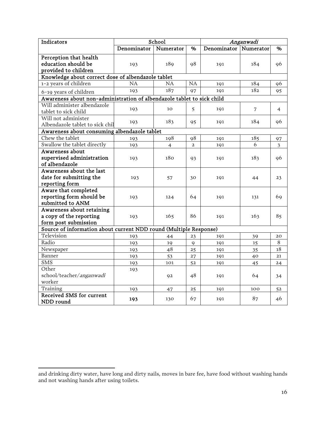| Indicators                                                             | School<br>Anganwadi |           |                |             |           |    |
|------------------------------------------------------------------------|---------------------|-----------|----------------|-------------|-----------|----|
|                                                                        | Denominator         | Numerator | %              | Denominator | Numerator | %  |
| Perception that health                                                 |                     |           |                |             |           |    |
| education should be                                                    | 193                 | 189       | 98             | 191         | 184       | 96 |
| provided to children                                                   |                     |           |                |             |           |    |
| Knowledge about correct dose of albendazole tablet                     |                     |           |                |             |           |    |
| 1-2 years of children                                                  | NA                  | <b>NA</b> | <b>NA</b>      | 191         | 184       | 96 |
| 6-19 years of children                                                 | 193                 | 187       | 97             | 191         | 182       | 95 |
| Awareness about non-administration of albendazole tablet to sick child |                     |           |                |             |           |    |
| Will administer albendazole<br>tablet to sick child                    | 193                 | 10        | 5              | 191         | 7         | 4  |
| Will not administer<br>Albendazole tablet to sick chil                 | 193                 | 183       | 95             | 191         | 184       | 96 |
| Awareness about consuming albendazole tablet                           |                     |           |                |             |           |    |
| Chew the tablet                                                        | 193                 | 198       | 98             | 191         | 185       | 97 |
| Swallow the tablet directly                                            | 193                 | 4         | $\overline{a}$ | 191         | 6         | 3  |
| Awareness about                                                        |                     |           |                |             |           |    |
| supervised administration                                              | 193                 | 180       | 93             | 191         | 183       | 96 |
| of albendazole                                                         |                     |           |                |             |           |    |
| Awareness about the last                                               |                     |           |                |             |           |    |
| date for submitting the                                                | 193                 | 57        | 30             | 191         | 44        | 23 |
| reporting form                                                         |                     |           |                |             |           |    |
| Aware that completed                                                   |                     |           |                |             |           |    |
| reporting form should be<br>submitted to ANM                           | 193                 | 124       | 64             | 191         | 131       | 69 |
| Awareness about retaining                                              |                     |           |                |             |           |    |
| a copy of the reporting                                                | 193                 | 165       | 86             |             | 163       | 85 |
| form post submission                                                   |                     |           |                | 191         |           |    |
| Source of information about current NDD round (Multiple Response)      |                     |           |                |             |           |    |
| Television                                                             | 193                 | 44        | 23             | 191         | 39        | 20 |
| Radio                                                                  | 193                 | 19        | $\mathsf{Q}$   | 191         | 15        | 8  |
| Newspaper                                                              | 193                 | 48        | 25             | 191         | 35        | 18 |
| Banner                                                                 | 193                 | 53        | 27             | 191         | 40        | 21 |
| <b>SMS</b>                                                             | 193                 | 101       | 52             | 191         | 45        | 24 |
| Other                                                                  | 193                 |           |                |             |           |    |
| school/teacher/anganwadi                                               |                     | 92        | 48             | 191         | 64        | 34 |
| worker                                                                 |                     |           |                |             |           |    |
| Training                                                               | 193                 | 47        | 25             | 191         | 100       | 52 |
| Received SMS for current<br>NDD round                                  | 193                 | 130       | 67             | 191         | 87        | 46 |

 $\overline{a}$ and drinking dirty water, have long and dirty nails, moves in bare fee, have food without washing hands and not washing hands after using toilets.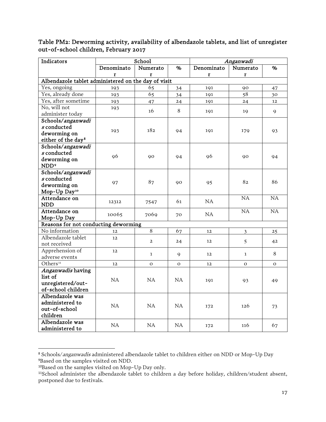Table PM2: Deworming activity, availability of albendazole tablets, and list of unregister out-of-school children, February 2017

| Indicators                                          |            | School         |             |              | Anganwadi      |                   |
|-----------------------------------------------------|------------|----------------|-------------|--------------|----------------|-------------------|
|                                                     | Denominato | Numerato       | %           | Denominato   | Numerato       | %                 |
|                                                     | r          | r              |             | $\mathbf{r}$ | $\mathbf{r}$   |                   |
| Albendazole tablet administered on the day of visit |            |                |             |              |                |                   |
| Yes, ongoing                                        | 193        | 65             | 34          | 191          | 90             | 47                |
| Yes, already done                                   | 193        | 65             | 34          | 191          | 58             | 30                |
| Yes, after sometime                                 | 193        | 47             | 24          | 191          | 24             | $12 \overline{ }$ |
| No, will not                                        | 193        | 16             | $\,8\,$     | 191          |                |                   |
| administer today                                    |            |                |             |              | 19             | 9                 |
| Schools/anganwadi                                   |            |                |             |              |                |                   |
| $s$ conducted                                       | 193        | 182            | 94          | 191          | 179            | 93                |
| deworming on                                        |            |                |             |              |                |                   |
| either of the day <sup>8</sup>                      |            |                |             |              |                |                   |
| Schools/anganwadi                                   |            |                |             |              |                |                   |
| $s$ conducted                                       | 96         | 90             | 94          | 96           | 90             | 94                |
| deworming on                                        |            |                |             |              |                |                   |
| NDD <sup>9</sup>                                    |            |                |             |              |                |                   |
| Schools/anganwadi                                   |            |                |             |              |                |                   |
| s conducted                                         | 97         | 87             | 90          | 95           | 82             | 86                |
| deworming on                                        |            |                |             |              |                |                   |
| Mop-Up Day <sup>10</sup>                            |            |                |             |              |                |                   |
| Attendance on                                       | 12312      | 7547           | 61          | NA           | NA             | NA                |
| <b>NDD</b>                                          |            |                |             |              |                |                   |
| Attendance on                                       | 10065      | 7069           | 70          | NA           | NA             | NA                |
| Mop-Up Day                                          |            |                |             |              |                |                   |
| Reasons for not conducting deworming                |            |                |             |              |                |                   |
| No information<br>Albendazole tablet                | 12         | 8              | 67          | 12           | $\mathfrak{Z}$ | 25                |
|                                                     | 12         | $\overline{2}$ | 24          | 12           | 5              | 42                |
| not received<br>Apprehension of                     |            |                |             |              |                |                   |
| adverse events                                      | 12         | $\mathbf{1}$   | 9           | 12           | $\mathbf{1}$   | $8\,$             |
| Others <sup>11</sup>                                |            |                |             |              |                |                   |
| Anganwadis having                                   | 12         | $\mathbf O$    | $\mathbf O$ | 12           | $\mathbf O$    | $\Omega$          |
| list of                                             |            |                |             |              |                |                   |
| unregistered/out-                                   | NA         | <b>NA</b>      | NA          | 191          | 93             | 49                |
| of-school children                                  |            |                |             |              |                |                   |
| Albendazole was                                     |            |                |             |              |                |                   |
| administered to                                     |            |                |             |              |                |                   |
| out-of-school                                       | NA         | NA             | NA.         | 172          | 126            | 73                |
| children                                            |            |                |             |              |                |                   |
| Albendazole was                                     |            |                |             |              |                |                   |
| administered to                                     | NA         | NA             | NA          | 172          | 116            | 67                |
|                                                     |            |                |             |              |                |                   |

<span id="page-18-0"></span><sup>&</sup>lt;sup>8</sup> Schools/anganwadis administered albendazole tablet to children either on NDD or Mop-Up Day 9 Based on the samples visited on NDD.

<span id="page-18-2"></span><span id="page-18-1"></span><sup>&</sup>lt;sup>10</sup>Based on the samples visited on Mop-Up Day only.

<span id="page-18-3"></span><sup>11</sup>School administer the albendazole tablet to children a day before holiday, children/student absent, postponed due to festivals.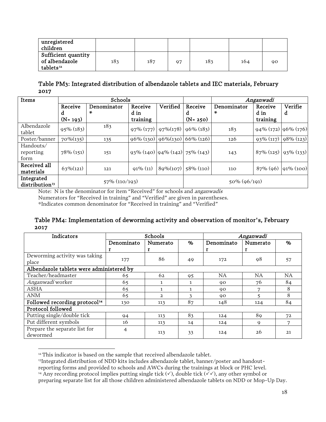| unregistered<br>children                                       |     |     |    |     |     |    |
|----------------------------------------------------------------|-----|-----|----|-----|-----|----|
| Sufficient quantity<br>of albendazole<br>tablets <sup>12</sup> | 183 | 187 | 97 | 183 | 164 | 90 |

Table PM3: Integrated distribution of albendazole tablets and IEC materials, February 2017

| Items                                    |              | Schools          |                           |             |                                                      |                 | Anganwadi                       |              |  |
|------------------------------------------|--------------|------------------|---------------------------|-------------|------------------------------------------------------|-----------------|---------------------------------|--------------|--|
|                                          | Receive      | Denominator      | Receive                   | Verified    | Receive                                              | Denominator     | Receive                         | Verifie      |  |
|                                          | d            | ×.               | d in                      |             | d                                                    | ×               | d in                            | d            |  |
|                                          | $(N = 193)$  |                  | training                  |             | $(N = 250)$                                          |                 | training                        |              |  |
| Albendazole<br>tablet                    | $95\% (183)$ | 183              | $97\% (177)$ 97\% (178)   |             | $96\% (183)$                                         | 183             | $94\%$ (172) $96\%$ (176)       |              |  |
| Poster/banner                            | $70\%(135)$  | 135              | $96\%$ (130) $96\%$ (130) |             | $66\%$ (126)                                         | 126             | $93\%$ (117) $\left 98\%$ (123) |              |  |
| Handouts/<br>reporting<br>form           | $78\%$ (151) | 151              |                           |             | $93\%$ (140) $\left  94\%$ (142) $\left  75\%$ (143) | 143             | $87\%$ (125)   93\% (133)       |              |  |
| Received all<br>materials                | $63\%(121)$  | 121              | $91\%$ (11)               | $89\%(107)$ | $58\%$ (110)                                         | 110             | $87\%$ (96)                     | $91\% (100)$ |  |
| Integrated<br>distribution <sup>13</sup> |              | $57\%$ (110/193) |                           |             |                                                      | $50\% (96/191)$ |                                 |              |  |

Note: N is the denominator for item "Received" for schools and anganwadis

Numerators for "Received in training" and "Verified" are given in parentheses.

\*Indicates common denominator for "Received in training" and "Verified"

#### Table PM4: Implementation of deworming activity and observation of monitor's, February 2017

| Indicators                                |            | Schools      |      | Anganwadi  |           |           |  |
|-------------------------------------------|------------|--------------|------|------------|-----------|-----------|--|
|                                           | Denominato | Numerato     | $\%$ | Denominato | Numerato  | $\%$      |  |
|                                           | r          | г            |      |            | r         |           |  |
| Deworming activity was taking             |            | 86           |      |            |           |           |  |
| place                                     | 177        |              | 49   | 172        | 98        | 57        |  |
| Albendazole tablets were administered by  |            |              |      |            |           |           |  |
| Teacher/headmaster                        | 65         | 62           | 95   | NA.        | <b>NA</b> | <b>NA</b> |  |
| Anganwadi worker                          | 65         |              | 1.   | 90         | 76        | 84        |  |
| ASHA                                      | 65         | 1.           | 1.   | 90         | 7         | 8         |  |
| <b>ANM</b>                                | 65         | $\mathbf{2}$ | ٦    | 90         |           | 8         |  |
| Followed recording protocol <sup>14</sup> | 130        | 113          | 87   | 148        | 124       | 84        |  |
| Protocol followed                         |            |              |      |            |           |           |  |
| Putting single/double tick                | 94         | 113          | 83   | 124        | 89        | 72        |  |
| Put different symbols                     | 16         | 113          | 14   | 124        | 9         | 7         |  |
| Prepare the separate list for             | 4          | 113          | 33   | 124        | 26        | 21        |  |
| dewormed                                  |            |              |      |            |           |           |  |

 $\overline{a}$ <sup>12</sup> This indicator is based on the sample that received albendazole tablet.

<span id="page-19-1"></span><span id="page-19-0"></span>13Integrated distribution of NDD kits includes albendazole tablet, banner/poster and handout-

reporting forms and provided to schools and AWCs during the trainings at block or PHC level.

<span id="page-19-2"></span><sup>&</sup>lt;sup>14</sup> Any recording protocol implies putting single tick  $(\checkmark)$ , double tick  $(\checkmark\checkmark)$ , any other symbol or preparing separate list for all those children administered albendazole tablets on NDD or Mop-Up Day.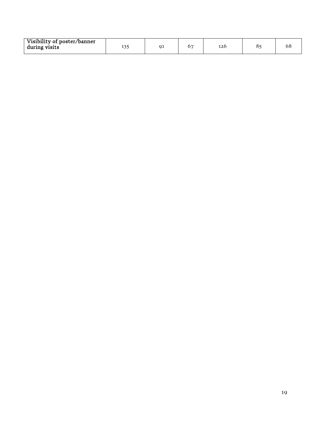<span id="page-20-0"></span>

| Visibility of poster/banner<br>during visits | . |  |  | 120 |  | υo |
|----------------------------------------------|---|--|--|-----|--|----|
|----------------------------------------------|---|--|--|-----|--|----|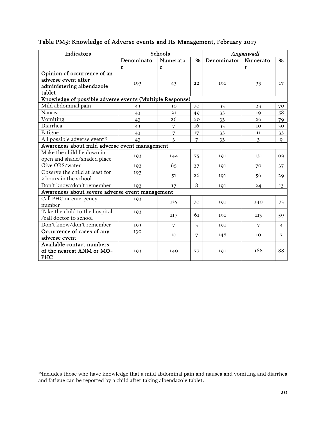| Indicators                                               |            | Schools         |      |             | Anganwadi      |                |
|----------------------------------------------------------|------------|-----------------|------|-------------|----------------|----------------|
|                                                          | Denominato | Numerato        | $\%$ | Denominator | Numerato       | %              |
|                                                          | r          | $\mathbf{r}$    |      |             | r              |                |
| Opinion of occurrence of an                              |            |                 |      |             |                |                |
| adverse event after                                      | 193        | 43              | 22   | 191         | 33             | 17             |
| administering albendazole                                |            |                 |      |             |                |                |
| tablet                                                   |            |                 |      |             |                |                |
| Knowledge of possible adverse events (Multiple Response) |            |                 |      |             |                |                |
| Mild abdominal pain                                      | 43         | 30              | 70   | 33          | 23             | 70             |
| Nausea                                                   | 43         | 21              | 49   | 33          | 19             | 58             |
| Vomiting                                                 | 43         | 26              | 60   | 33          | 26             | 79             |
| Diarrhea                                                 | 43         | 7               | 16   | 33          | 10             | 30             |
| Fatigue                                                  | 43         | 7               | 17   | 33          | 11             | 33             |
| All possible adverse event <sup>15</sup>                 | 43         | $\mathfrak{Z}$  | 7    | 33          | $\mathfrak{Z}$ | $\mathsf{Q}$   |
| Awareness about mild adverse event management            |            |                 |      |             |                |                |
| Make the child lie down in                               | 193        | 144             | 75   | 191         | 131            | 69             |
| open and shade/shaded place                              |            |                 |      |             |                |                |
| Give ORS/water                                           | 193        | 65              | 37   | 191         | 70             | 37             |
| Observe the child at least for                           | 193        | 51              | 26   | 191         | 56             | 29             |
| 2 hours in the school                                    |            |                 |      |             |                |                |
| Don't know/don't remember                                | 193        | 17              | 8    | 191         | 24             | 13             |
| Awareness about severe adverse event management          |            |                 |      |             |                |                |
| Call PHC or emergency                                    | 193        | 135             | 70   | 191         | 140            | 73             |
| number                                                   |            |                 |      |             |                |                |
| Take the child to the hospital                           | 193        | 117             | 61   | 191         | 113            | 59             |
| /call doctor to school                                   |            |                 |      |             |                |                |
| Don't know/don't remember                                | 193        | 7               | 3    | 191         | 7              | $\overline{4}$ |
| Occurrence of cases of any                               | 130        | 10 <sup>°</sup> | 7    | 148         | 10             | 7              |
| adverse event                                            |            |                 |      |             |                |                |
| Available contact numbers                                |            |                 |      |             |                |                |
| of the nearest ANM or MO-                                | 193        | 149             | 77   | 191         | 168            | 88             |
| PHC                                                      |            |                 |      |             |                |                |

#### Table PM5: Knowledge of Adverse events and Its Management, February 2017

<span id="page-21-4"></span><span id="page-21-3"></span><span id="page-21-2"></span><span id="page-21-1"></span><span id="page-21-0"></span> <sup>15</sup>Includes those who have knowledge that a mild abdominal pain and nausea and vomiting and diarrhea and fatigue can be reported by a child after taking albendazole tablet.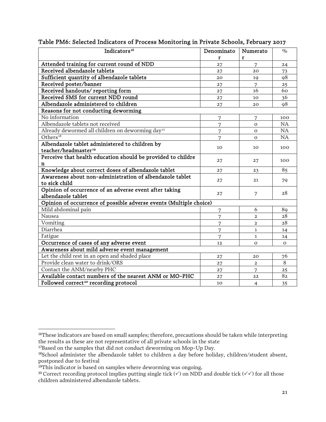| Indicators <sup>16</sup>                                                   | Denominato     | Numerato       | $\%$         |
|----------------------------------------------------------------------------|----------------|----------------|--------------|
|                                                                            |                |                |              |
|                                                                            | r              | r              |              |
| Attended training for current round of NDD<br>Received albendazole tablets | 27             | 7              | 24           |
|                                                                            | 27             | 20             | 73           |
| Sufficient quantity of albendazole tablets                                 | 20             | 19             | 98           |
| Received poster/banner                                                     | 27             | 7              | 25           |
| Received handouts/reporting form                                           | 27             | 16             | 60           |
| Received SMS for current NDD round                                         | 27             | 10             | 36           |
| Albendazole administered to children                                       | 27             | 20             | 98           |
| Reasons for not conducting deworming                                       |                |                |              |
| No information                                                             | $\overline{7}$ | $\overline{7}$ | 100          |
| Albendazole tablets not received                                           | 7              | $\Omega$       | NA           |
| Already dewormed all children on deworming day <sup>17</sup>               | $\overline{7}$ | $\Omega$       | NA           |
| Others $18$                                                                | 7              | $\Omega$       | NA           |
| Albendazole tablet administered to children by                             |                |                |              |
| teacher/headmaster <sup>19</sup>                                           | 10             | 10             | 100          |
| Perceive that health education should be provided to childre               |                |                |              |
| n                                                                          | 27             | 27             | 100          |
| Knowledge about correct doses of albendazole tablet                        | 27             | 23             | 85           |
| Awareness about non-administration of albendazole tablet                   |                |                |              |
| to sick child                                                              | 27             | 21             | 79           |
| Opinion of occurrence of an adverse event after taking                     |                |                |              |
| albendazole tablet                                                         | 27             | 7              | 28           |
| Opinion of occurrence of possible adverse events (Multiple choice)         |                |                |              |
| Mild abdominal pain                                                        | 7              | 6              | 89           |
| Nausea                                                                     | $\overline{7}$ | $\overline{2}$ | 28           |
| Vomiting                                                                   | 7              | $\overline{2}$ | 28           |
| Diarrhea                                                                   | 7              | $\mathbf{1}$   | 14           |
| Fatigue                                                                    | 7              | 1              | 14           |
| Occurrence of cases of any adverse event                                   | 12             | $\Omega$       | $\mathbf{O}$ |
| Awareness about mild adverse event management                              |                |                |              |
| Let the child rest in an open and shaded place                             | 27             | 20             | 76           |
| Provide clean water to drink/ORS                                           | 27             | $\overline{2}$ | 8            |
| Contact the ANM/nearby PHC                                                 | 27             | 7              | 25           |
| Available contact numbers of the nearest ANM or MO-PHC                     | 27             | 22             | 82           |
| Followed correct <sup>20</sup> recording protocol                          |                |                |              |
|                                                                            | 10             | $\overline{4}$ | 35           |

#### Table PM6: Selected Indicators of Process Monitoring in Private Schools, February 2017

<sup>&</sup>lt;sup>16</sup>These indicators are based on small samples; therefore, precautions should be taken while interpreting the results as these are not representative of all private schools in the state

<sup>&</sup>lt;sup>17</sup>Based on the samples that did not conduct deworming on Mop-Up Day.

<sup>18</sup>School administer the albendazole tablet to children a day before holiday, children/student absent, postponed due to festival

<span id="page-22-0"></span><sup>&</sup>lt;sup>19</sup>This indicator is based on samples where deworming was ongoing.

<span id="page-22-2"></span><span id="page-22-1"></span><sup>&</sup>lt;sup>20</sup> Correct recording protocol implies putting single tick ( $\checkmark$ ) on NDD and double tick ( $\checkmark\checkmark$ ) for all those children administered albendazole tablets.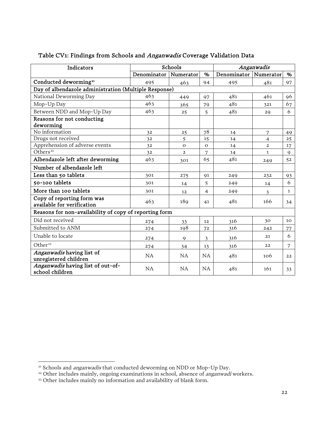| Indicators                                               |             | Schools        | Anganwadis     |             |                |              |
|----------------------------------------------------------|-------------|----------------|----------------|-------------|----------------|--------------|
|                                                          | Denominator | Numerator      | %              | Denominator | Numerator      | %            |
| Conducted deworming <sup>21</sup>                        | 495         | 463            | 94             | 495         | 481            | 97           |
| Day of albendazole administration (Multiple Response)    |             |                |                |             |                |              |
| National Deworming Day                                   | 463         | 449            | 97             | 481         | 461            | 96           |
| Mop-Up Day                                               | 463         | 365            | 79             | 481         | 321            | 67           |
| Between NDD and Mop-Up Day                               | 463         | 25             | 5              | 481         | 29             | 6            |
| Reasons for not conducting                               |             |                |                |             |                |              |
| deworming                                                |             |                |                |             |                |              |
| No information                                           | 32          | 25             | 78             | 14          | $\overline{7}$ | 49           |
| Drugs not received                                       | 32          | 5              | 15             | 14          | $\overline{4}$ | 25           |
| Apprehension of adverse events                           | 32          | $\mathbf{O}$   | $\Omega$       | 14          | $\mathbf{2}$   | 17           |
| Others <sup>22</sup>                                     | 32          | $\overline{2}$ | 7              | 14          | $\mathbf{1}$   | $\mathbf{Q}$ |
| Albendazole left after deworming                         | 463         | 301            | 65             | 481         | 249            | 52           |
| Number of albendazole left                               |             |                |                |             |                |              |
| Less than 50 tablets                                     | 301         | 275            | 91             | 249         | 232            | 93           |
| 50-100 tablets                                           | 301         | 14             | 5              | 249         | 14             | 6            |
| More than 100 tablets                                    | 301         | 12             | $\overline{4}$ | 249         | $\mathfrak{Z}$ | $\mathbf{1}$ |
| Copy of reporting form was<br>available for verification | 463         | 189            | 41             | 481         | 166            | 34           |
| Reasons for non-availability of copy of reporting form   |             |                |                |             |                |              |
| Did not received                                         | 274         | 33             | 12             | 316         | 30             | 10           |
| Submitted to ANM                                         | 274         | 198            | 72             | 316         | 242            | 77           |
| Unable to locate                                         | 274         | 9              | 3              | 316         | 21             | 6            |
| Other <sup>23</sup>                                      | 274         | 34             | 13             | 316         | 22             | 7            |
| Anganwadis having list of<br>unregistered children       | <b>NA</b>   | <b>NA</b>      | <b>NA</b>      | 481         | 106            | 22           |
| Anganwadis having list of out-of-<br>school children     | <b>NA</b>   | <b>NA</b>      | <b>NA</b>      | 481         | 161            | 33           |

#### Table CV1: Findings from Schools and Anganwadis Coverage Validation Data

<span id="page-23-4"></span><span id="page-23-3"></span><span id="page-23-2"></span><span id="page-23-1"></span><span id="page-23-0"></span> $\overline{a}$ 

<span id="page-23-6"></span><span id="page-23-5"></span><sup>&</sup>lt;sup>21</sup> Schools and *anganwadis* that conducted deworming on NDD or Mop-Up Day.

<sup>&</sup>lt;sup>22</sup> Other includes mainly, ongoing examinations in school, absence of *anganwadi* workers.

<sup>&</sup>lt;sup>23</sup> Other includes mainly no information and availability of blank form.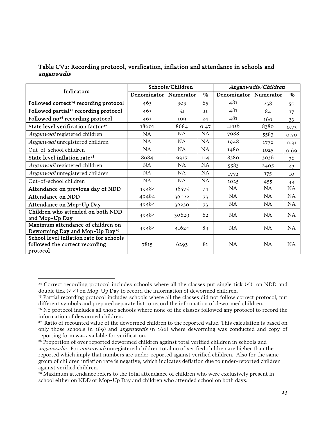#### Table CV2: Recording protocol, verification, inflation and attendance in schools and anganwadis

| Indicators                                                                            | Schools/Children |           |           | Anganwadis/Children     |           |           |
|---------------------------------------------------------------------------------------|------------------|-----------|-----------|-------------------------|-----------|-----------|
|                                                                                       | Denominator      | Numerator | %         | Denominator   Numerator |           | $\%$      |
| Followed correct <sup>24</sup> recording protocol                                     | 463              | 303       | 65        | 481                     | 238       | 50        |
| Followed partial <sup>25</sup> recording protocol                                     | 463              | 51        | 11        | 481                     | 84        | 17        |
| Followed no <sup>26</sup> recording protocol                                          | 463              | 109       | 24        | 481                     | 160       | 33        |
| State level verification factor <sup>27</sup>                                         | 18601            | 8684      | 0.47      | 11416                   | 8380      | 0.73      |
| Anganwadi registered children                                                         | NA.              | <b>NA</b> | NA.       | 7988                    | 5583      | 0.70      |
| Anganwadi unregistered children                                                       | NA               | NA        | NA        | 1948                    | 1772      | 0.91      |
| Out-of-school children                                                                | NA               | NA.       | <b>NA</b> | 1480                    | 1025      | 0.69      |
| State level inflation rate <sup>28</sup>                                              | 8684             | 9917      | 114       | 8380                    | 3036      | 36        |
| Anganwadi registered children                                                         | NA               | <b>NA</b> | <b>NA</b> | 5583                    | 2405      | 43        |
| Anganwadi unregistered children                                                       | <b>NA</b>        | <b>NA</b> | <b>NA</b> | 1772                    | 175       | 10        |
| Out-of-school children                                                                | NA.              | NA        | NA.       | 1025                    | 455       | 44        |
| Attendance on previous day of NDD                                                     | 49484            | 36575     | 74        | <b>NA</b>               | <b>NA</b> | <b>NA</b> |
| Attendance on NDD                                                                     | 49484            | 36022     | 73        | NA                      | NA        | <b>NA</b> |
| Attendance on Mop-Up Day                                                              | 49484            | 36230     | 73        | NA                      | <b>NA</b> | <b>NA</b> |
| Children who attended on both NDD<br>and Mop-Up Day                                   | 49484            | 30629     | 62        | <b>NA</b>               | NA.       | NA.       |
| Maximum attendance of children on<br>Deworming Day and Mop-Up Day <sup>29</sup>       | 49484            | 41624     | 84        | NA.                     | NA.       | NA.       |
| School level inflation rate for schools<br>followed the correct recording<br>protocol | 7815             | 6293      | 81        | <b>NA</b>               | NA        | NA.       |

 $\overline{a}$ <sup>24</sup> Correct recording protocol includes schools where all the classes put single tick  $(\checkmark)$  on NDD and double tick  $(\checkmark)$  on Mop-Up Day to record the information of dewormed children.

<sup>&</sup>lt;sup>25</sup> Partial recording protocol includes schools where all the classes did not follow correct protocol, put different symbols and prepared separate list to record the information of dewormed children.

<sup>&</sup>lt;sup>26</sup> No protocol includes all those schools where none of the classes followed any protocol to record the information of dewormed children.

<sup>&</sup>lt;sup>27</sup> Ratio of recounted value of the dewormed children to the reported value. This calculation is based on only those schools (n=189) and *anganwadis* (n=166) where deworming was conducted and copy of reporting form was available for verification.

<span id="page-24-0"></span><sup>28</sup> Proportion of over reported dewormed children against total verified children in schools and anganwadis. For anganwadi unregistered children total no of verified children are higher than the reported which imply that numbers are under-reported against verified children. Also for the same group of children inflation rate is negative, which indicates deflation due to under-reported children against verified children.

<sup>&</sup>lt;sup>29</sup> Maximum attendance refers to the total attendance of children who were exclusively present in school either on NDD or Mop-Up Day and children who attended school on both days.